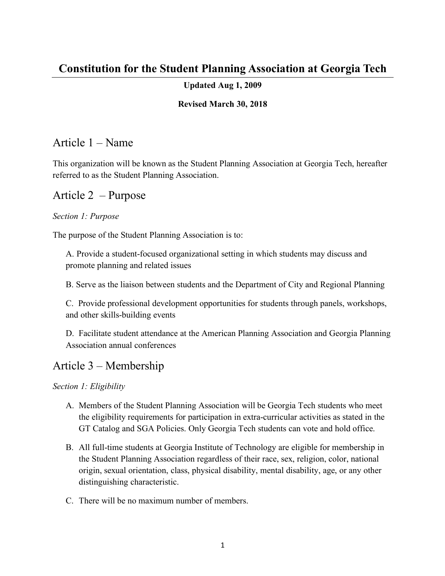# **Constitution for the Student Planning Association at Georgia Tech**

### **Updated Aug 1, 2009**

#### **Revised March 30, 2018**

### Article 1 – Name

This organization will be known as the Student Planning Association at Georgia Tech, hereafter referred to as the Student Planning Association.

### Article 2 – Purpose

#### *Section 1: Purpose*

The purpose of the Student Planning Association is to:

A. Provide a student-focused organizational setting in which students may discuss and promote planning and related issues

B. Serve as the liaison between students and the Department of City and Regional Planning

C. Provide professional development opportunities for students through panels, workshops, and other skills-building events

D. Facilitate student attendance at the American Planning Association and Georgia Planning Association annual conferences

# Article 3 – Membership

*Section 1: Eligibility*

- A. Members of the Student Planning Association will be Georgia Tech students who meet the eligibility requirements for participation in extra-curricular activities as stated in the GT Catalog and SGA Policies. Only Georgia Tech students can vote and hold office.
- B. All full-time students at Georgia Institute of Technology are eligible for membership in the Student Planning Association regardless of their race, sex, religion, color, national origin, sexual orientation, class, physical disability, mental disability, age, or any other distinguishing characteristic.
- C. There will be no maximum number of members.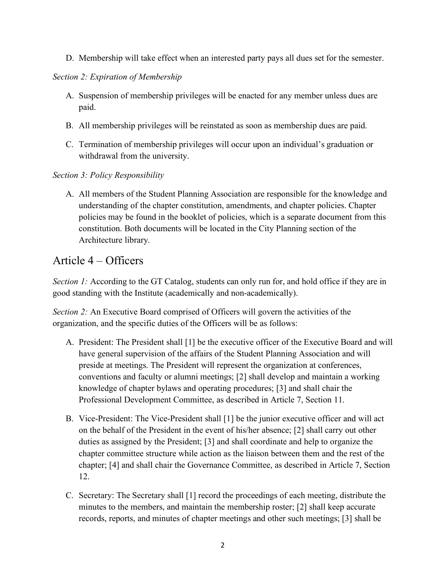D. Membership will take effect when an interested party pays all dues set for the semester.

#### *Section 2: Expiration of Membership*

- A. Suspension of membership privileges will be enacted for any member unless dues are paid.
- B. All membership privileges will be reinstated as soon as membership dues are paid.
- C. Termination of membership privileges will occur upon an individual's graduation or withdrawal from the university.

#### *Section 3: Policy Responsibility*

A. All members of the Student Planning Association are responsible for the knowledge and understanding of the chapter constitution, amendments, and chapter policies. Chapter policies may be found in the booklet of policies, which is a separate document from this constitution. Both documents will be located in the City Planning section of the Architecture library.

## Article 4 – Officers

*Section 1:* According to the GT Catalog, students can only run for, and hold office if they are in good standing with the Institute (academically and non-academically).

*Section 2:* An Executive Board comprised of Officers will govern the activities of the organization, and the specific duties of the Officers will be as follows:

- A. President: The President shall [1] be the executive officer of the Executive Board and will have general supervision of the affairs of the Student Planning Association and will preside at meetings. The President will represent the organization at conferences, conventions and faculty or alumni meetings; [2] shall develop and maintain a working knowledge of chapter bylaws and operating procedures; [3] and shall chair the Professional Development Committee, as described in Article 7, Section 11.
- B. Vice-President: The Vice-President shall [1] be the junior executive officer and will act on the behalf of the President in the event of his/her absence; [2] shall carry out other duties as assigned by the President; [3] and shall coordinate and help to organize the chapter committee structure while action as the liaison between them and the rest of the chapter; [4] and shall chair the Governance Committee, as described in Article 7, Section 12.
- C. Secretary: The Secretary shall [1] record the proceedings of each meeting, distribute the minutes to the members, and maintain the membership roster; [2] shall keep accurate records, reports, and minutes of chapter meetings and other such meetings; [3] shall be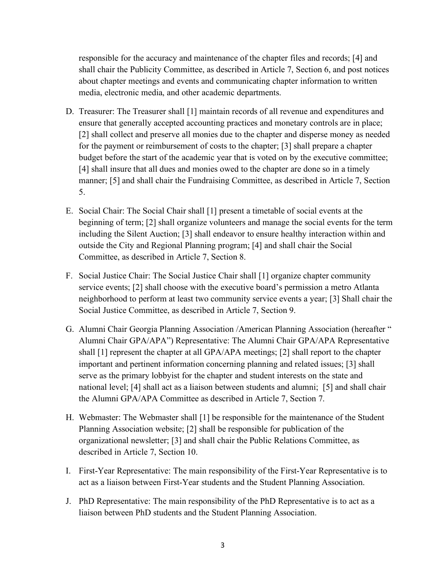responsible for the accuracy and maintenance of the chapter files and records; [4] and shall chair the Publicity Committee, as described in Article 7, Section 6, and post notices about chapter meetings and events and communicating chapter information to written media, electronic media, and other academic departments.

- D. Treasurer: The Treasurer shall [1] maintain records of all revenue and expenditures and ensure that generally accepted accounting practices and monetary controls are in place; [2] shall collect and preserve all monies due to the chapter and disperse money as needed for the payment or reimbursement of costs to the chapter; [3] shall prepare a chapter budget before the start of the academic year that is voted on by the executive committee; [4] shall insure that all dues and monies owed to the chapter are done so in a timely manner; [5] and shall chair the Fundraising Committee, as described in Article 7, Section 5.
- E. Social Chair: The Social Chair shall [1] present a timetable of social events at the beginning of term; [2] shall organize volunteers and manage the social events for the term including the Silent Auction; [3] shall endeavor to ensure healthy interaction within and outside the City and Regional Planning program; [4] and shall chair the Social Committee, as described in Article 7, Section 8.
- F. Social Justice Chair: The Social Justice Chair shall [1] organize chapter community service events; [2] shall choose with the executive board's permission a metro Atlanta neighborhood to perform at least two community service events a year; [3] Shall chair the Social Justice Committee, as described in Article 7, Section 9.
- G. Alumni Chair Georgia Planning Association /American Planning Association (hereafter " Alumni Chair GPA/APA") Representative: The Alumni Chair GPA/APA Representative shall [1] represent the chapter at all GPA/APA meetings; [2] shall report to the chapter important and pertinent information concerning planning and related issues; [3] shall serve as the primary lobbyist for the chapter and student interests on the state and national level; [4] shall act as a liaison between students and alumni; [5] and shall chair the Alumni GPA/APA Committee as described in Article 7, Section 7.
- H. Webmaster: The Webmaster shall [1] be responsible for the maintenance of the Student Planning Association website; [2] shall be responsible for publication of the organizational newsletter; [3] and shall chair the Public Relations Committee, as described in Article 7, Section 10.
- I. First-Year Representative: The main responsibility of the First-Year Representative is to act as a liaison between First-Year students and the Student Planning Association.
- J. PhD Representative: The main responsibility of the PhD Representative is to act as a liaison between PhD students and the Student Planning Association.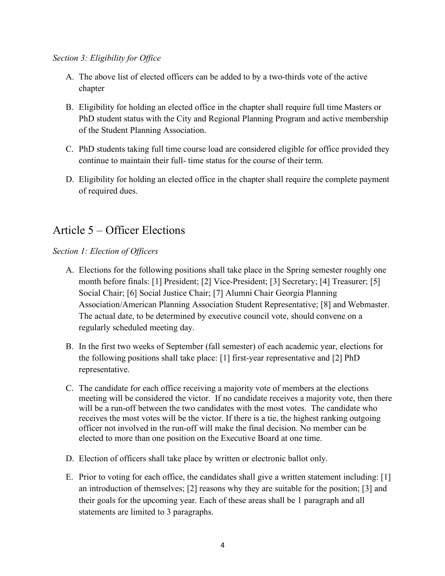#### *Section 3: Eligibility for Office*

- A. The above list of elected officers can be added to by a two-thirds vote of the active chapter
- B. Eligibility for holding an elected office in the chapter shall require full time Masters or PhD student status with the City and Regional Planning Program and active membership of the Student Planning Association.
- C. PhD students taking full time course load are considered eligible for office provided they continue to maintain their full- time status for the course of their term.
- D. Eligibility for holding an elected office in the chapter shall require the complete payment of required dues.

# Article 5 – Officer Elections

*Section 1: Election of Officers*

- A. Elections for the following positions shall take place in the Spring semester roughly one month before finals: [1] President; [2] Vice-President; [3] Secretary; [4] Treasurer; [5] Social Chair; [6] Social Justice Chair; [7] Alumni Chair Georgia Planning Association/American Planning Association Student Representative; [8] and Webmaster. The actual date, to be determined by executive council vote, should convene on a regularly scheduled meeting day.
- B. In the first two weeks of September (fall semester) of each academic year, elections for the following positions shall take place: [1] first-year representative and [2] PhD representative.
- C. The candidate for each office receiving a majority vote of members at the elections meeting will be considered the victor. If no candidate receives a majority vote, then there will be a run-off between the two candidates with the most votes. The candidate who receives the most votes will be the victor. If there is a tie, the highest ranking outgoing officer not involved in the run-off will make the final decision. No member can be elected to more than one position on the Executive Board at one time.
- D. Election of officers shall take place by written or electronic ballot only.
- E. Prior to voting for each office, the candidates shall give a written statement including: [1] an introduction of themselves; [2] reasons why they are suitable for the position; [3] and their goals for the upcoming year. Each of these areas shall be 1 paragraph and all statements are limited to 3 paragraphs.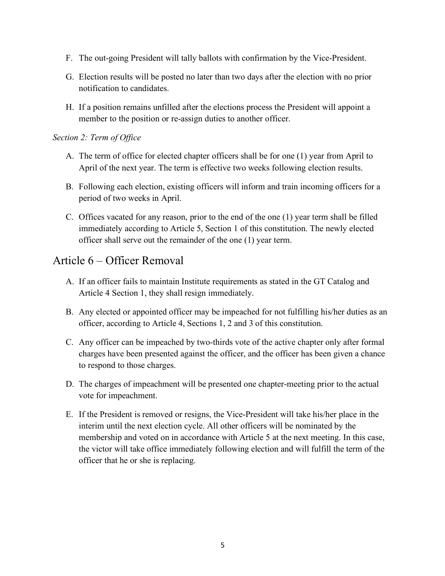- F. The out-going President will tally ballots with confirmation by the Vice-President.
- G. Election results will be posted no later than two days after the election with no prior notification to candidates.
- H. If a position remains unfilled after the elections process the President will appoint a member to the position or re-assign duties to another officer.

#### *Section 2: Term of Office*

- A. The term of office for elected chapter officers shall be for one (1) year from April to April of the next year. The term is effective two weeks following election results.
- B. Following each election, existing officers will inform and train incoming officers for a period of two weeks in April.
- C. Offices vacated for any reason, prior to the end of the one (1) year term shall be filled immediately according to Article 5, Section 1 of this constitution. The newly elected officer shall serve out the remainder of the one (1) year term.

# Article 6 – Officer Removal

- A. If an officer fails to maintain Institute requirements as stated in the GT Catalog and Article 4 Section 1, they shall resign immediately.
- B. Any elected or appointed officer may be impeached for not fulfilling his/her duties as an officer, according to Article 4, Sections 1, 2 and 3 of this constitution.
- C. Any officer can be impeached by two-thirds vote of the active chapter only after formal charges have been presented against the officer, and the officer has been given a chance to respond to those charges.
- D. The charges of impeachment will be presented one chapter-meeting prior to the actual vote for impeachment.
- E. If the President is removed or resigns, the Vice-President will take his/her place in the interim until the next election cycle. All other officers will be nominated by the membership and voted on in accordance with Article 5 at the next meeting. In this case, the victor will take office immediately following election and will fulfill the term of the officer that he or she is replacing.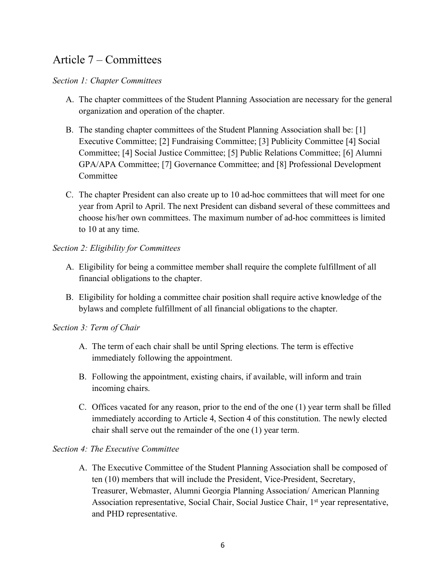# Article 7 – Committees

#### *Section 1: Chapter Committees*

- A. The chapter committees of the Student Planning Association are necessary for the general organization and operation of the chapter.
- B. The standing chapter committees of the Student Planning Association shall be: [1] Executive Committee; [2] Fundraising Committee; [3] Publicity Committee [4] Social Committee; [4] Social Justice Committee; [5] Public Relations Committee; [6] Alumni GPA/APA Committee; [7] Governance Committee; and [8] Professional Development Committee
- C. The chapter President can also create up to 10 ad-hoc committees that will meet for one year from April to April. The next President can disband several of these committees and choose his/her own committees. The maximum number of ad-hoc committees is limited to 10 at any time.

### *Section 2: Eligibility for Committees*

- A. Eligibility for being a committee member shall require the complete fulfillment of all financial obligations to the chapter.
- B. Eligibility for holding a committee chair position shall require active knowledge of the bylaws and complete fulfillment of all financial obligations to the chapter.

#### *Section 3: Term of Chair*

- A. The term of each chair shall be until Spring elections. The term is effective immediately following the appointment.
- B. Following the appointment, existing chairs, if available, will inform and train incoming chairs.
- C. Offices vacated for any reason, prior to the end of the one (1) year term shall be filled immediately according to Article 4, Section 4 of this constitution. The newly elected chair shall serve out the remainder of the one (1) year term.

#### *Section 4: The Executive Committee*

A. The Executive Committee of the Student Planning Association shall be composed of ten (10) members that will include the President, Vice-President, Secretary, Treasurer, Webmaster, Alumni Georgia Planning Association/ American Planning Association representative, Social Chair, Social Justice Chair, 1<sup>st</sup> year representative, and PHD representative.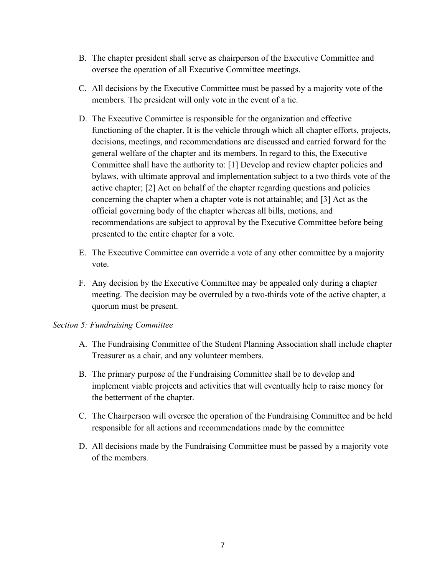- B. The chapter president shall serve as chairperson of the Executive Committee and oversee the operation of all Executive Committee meetings.
- C. All decisions by the Executive Committee must be passed by a majority vote of the members. The president will only vote in the event of a tie.
- D. The Executive Committee is responsible for the organization and effective functioning of the chapter. It is the vehicle through which all chapter efforts, projects, decisions, meetings, and recommendations are discussed and carried forward for the general welfare of the chapter and its members. In regard to this, the Executive Committee shall have the authority to: [1] Develop and review chapter policies and bylaws, with ultimate approval and implementation subject to a two thirds vote of the active chapter; [2] Act on behalf of the chapter regarding questions and policies concerning the chapter when a chapter vote is not attainable; and [3] Act as the official governing body of the chapter whereas all bills, motions, and recommendations are subject to approval by the Executive Committee before being presented to the entire chapter for a vote.
- E. The Executive Committee can override a vote of any other committee by a majority vote.
- F. Any decision by the Executive Committee may be appealed only during a chapter meeting. The decision may be overruled by a two-thirds vote of the active chapter, a quorum must be present.

#### *Section 5: Fundraising Committee*

- A. The Fundraising Committee of the Student Planning Association shall include chapter Treasurer as a chair, and any volunteer members.
- B. The primary purpose of the Fundraising Committee shall be to develop and implement viable projects and activities that will eventually help to raise money for the betterment of the chapter.
- C. The Chairperson will oversee the operation of the Fundraising Committee and be held responsible for all actions and recommendations made by the committee
- D. All decisions made by the Fundraising Committee must be passed by a majority vote of the members.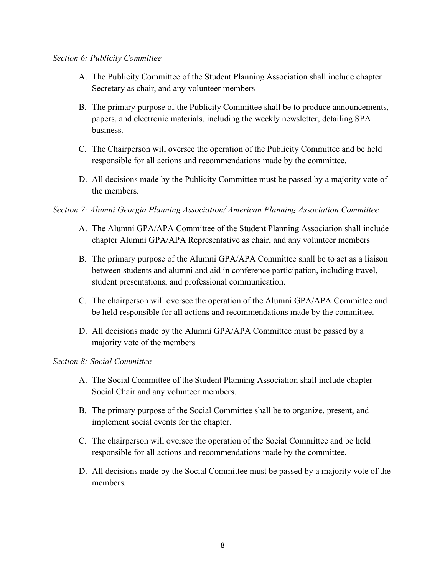#### *Section 6: Publicity Committee*

- A. The Publicity Committee of the Student Planning Association shall include chapter Secretary as chair, and any volunteer members
- B. The primary purpose of the Publicity Committee shall be to produce announcements, papers, and electronic materials, including the weekly newsletter, detailing SPA business.
- C. The Chairperson will oversee the operation of the Publicity Committee and be held responsible for all actions and recommendations made by the committee.
- D. All decisions made by the Publicity Committee must be passed by a majority vote of the members.

#### *Section 7: Alumni Georgia Planning Association/ American Planning Association Committee*

- A. The Alumni GPA/APA Committee of the Student Planning Association shall include chapter Alumni GPA/APA Representative as chair, and any volunteer members
- B. The primary purpose of the Alumni GPA/APA Committee shall be to act as a liaison between students and alumni and aid in conference participation, including travel, student presentations, and professional communication.
- C. The chairperson will oversee the operation of the Alumni GPA/APA Committee and be held responsible for all actions and recommendations made by the committee.
- D. All decisions made by the Alumni GPA/APA Committee must be passed by a majority vote of the members

#### *Section 8: Social Committee*

- A. The Social Committee of the Student Planning Association shall include chapter Social Chair and any volunteer members.
- B. The primary purpose of the Social Committee shall be to organize, present, and implement social events for the chapter.
- C. The chairperson will oversee the operation of the Social Committee and be held responsible for all actions and recommendations made by the committee.
- D. All decisions made by the Social Committee must be passed by a majority vote of the members.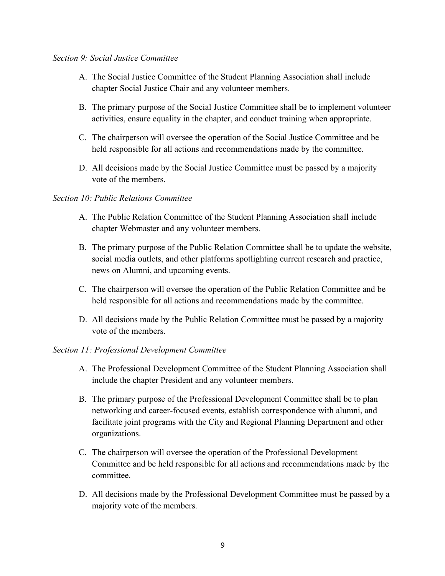#### *Section 9: Social Justice Committee*

- A. The Social Justice Committee of the Student Planning Association shall include chapter Social Justice Chair and any volunteer members.
- B. The primary purpose of the Social Justice Committee shall be to implement volunteer activities, ensure equality in the chapter, and conduct training when appropriate.
- C. The chairperson will oversee the operation of the Social Justice Committee and be held responsible for all actions and recommendations made by the committee.
- D. All decisions made by the Social Justice Committee must be passed by a majority vote of the members.

#### *Section 10: Public Relations Committee*

- A. The Public Relation Committee of the Student Planning Association shall include chapter Webmaster and any volunteer members.
- B. The primary purpose of the Public Relation Committee shall be to update the website, social media outlets, and other platforms spotlighting current research and practice, news on Alumni, and upcoming events.
- C. The chairperson will oversee the operation of the Public Relation Committee and be held responsible for all actions and recommendations made by the committee.
- D. All decisions made by the Public Relation Committee must be passed by a majority vote of the members.

#### *Section 11: Professional Development Committee*

- A. The Professional Development Committee of the Student Planning Association shall include the chapter President and any volunteer members.
- B. The primary purpose of the Professional Development Committee shall be to plan networking and career-focused events, establish correspondence with alumni, and facilitate joint programs with the City and Regional Planning Department and other organizations.
- C. The chairperson will oversee the operation of the Professional Development Committee and be held responsible for all actions and recommendations made by the committee.
- D. All decisions made by the Professional Development Committee must be passed by a majority vote of the members.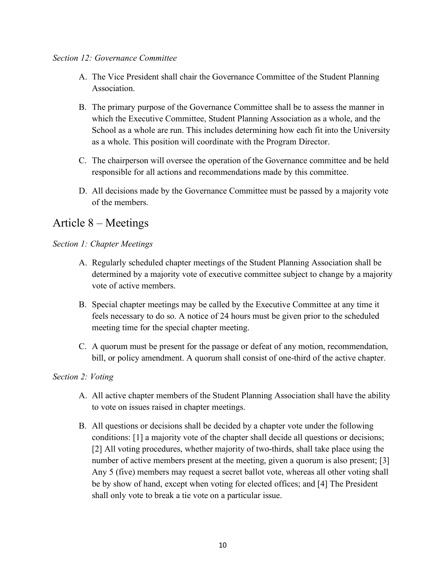#### *Section 12: Governance Committee*

- A. The Vice President shall chair the Governance Committee of the Student Planning Association.
- B. The primary purpose of the Governance Committee shall be to assess the manner in which the Executive Committee, Student Planning Association as a whole, and the School as a whole are run. This includes determining how each fit into the University as a whole. This position will coordinate with the Program Director.
- C. The chairperson will oversee the operation of the Governance committee and be held responsible for all actions and recommendations made by this committee.
- D. All decisions made by the Governance Committee must be passed by a majority vote of the members.

# Article 8 – Meetings

#### *Section 1: Chapter Meetings*

- A. Regularly scheduled chapter meetings of the Student Planning Association shall be determined by a majority vote of executive committee subject to change by a majority vote of active members.
- B. Special chapter meetings may be called by the Executive Committee at any time it feels necessary to do so. A notice of 24 hours must be given prior to the scheduled meeting time for the special chapter meeting.
- C. A quorum must be present for the passage or defeat of any motion, recommendation, bill, or policy amendment. A quorum shall consist of one-third of the active chapter.

#### *Section 2: Voting*

- A. All active chapter members of the Student Planning Association shall have the ability to vote on issues raised in chapter meetings.
- B. All questions or decisions shall be decided by a chapter vote under the following conditions: [1] a majority vote of the chapter shall decide all questions or decisions; [2] All voting procedures, whether majority of two-thirds, shall take place using the number of active members present at the meeting, given a quorum is also present; [3] Any 5 (five) members may request a secret ballot vote, whereas all other voting shall be by show of hand, except when voting for elected offices; and [4] The President shall only vote to break a tie vote on a particular issue.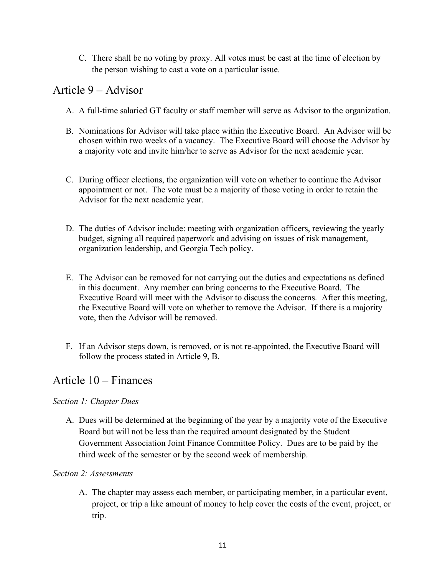C. There shall be no voting by proxy. All votes must be cast at the time of election by the person wishing to cast a vote on a particular issue.

# Article 9 – Advisor

- A. A full-time salaried GT faculty or staff member will serve as Advisor to the organization.
- B. Nominations for Advisor will take place within the Executive Board. An Advisor will be chosen within two weeks of a vacancy. The Executive Board will choose the Advisor by a majority vote and invite him/her to serve as Advisor for the next academic year.
- C. During officer elections, the organization will vote on whether to continue the Advisor appointment or not. The vote must be a majority of those voting in order to retain the Advisor for the next academic year.
- D. The duties of Advisor include: meeting with organization officers, reviewing the yearly budget, signing all required paperwork and advising on issues of risk management, organization leadership, and Georgia Tech policy.
- E. The Advisor can be removed for not carrying out the duties and expectations as defined in this document. Any member can bring concerns to the Executive Board. The Executive Board will meet with the Advisor to discuss the concerns. After this meeting, the Executive Board will vote on whether to remove the Advisor. If there is a majority vote, then the Advisor will be removed.
- F. If an Advisor steps down, is removed, or is not re-appointed, the Executive Board will follow the process stated in Article 9, B.

# Article 10 – Finances

### *Section 1: Chapter Dues*

A. Dues will be determined at the beginning of the year by a majority vote of the Executive Board but will not be less than the required amount designated by the Student Government Association Joint Finance Committee Policy. Dues are to be paid by the third week of the semester or by the second week of membership.

### *Section 2: Assessments*

A. The chapter may assess each member, or participating member, in a particular event, project, or trip a like amount of money to help cover the costs of the event, project, or trip.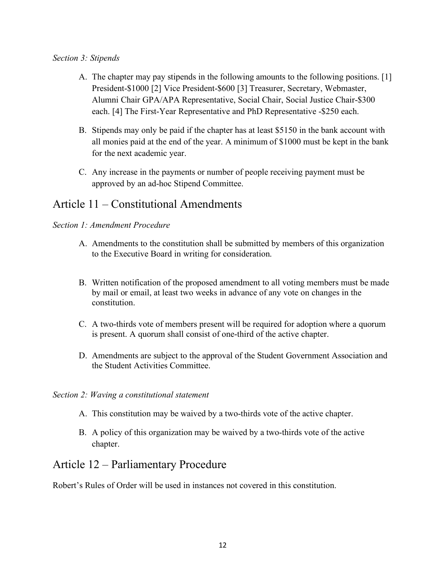#### *Section 3: Stipends*

- A. The chapter may pay stipends in the following amounts to the following positions. [1] President-\$1000 [2] Vice President-\$600 [3] Treasurer, Secretary, Webmaster, Alumni Chair GPA/APA Representative, Social Chair, Social Justice Chair-\$300 each. [4] The First-Year Representative and PhD Representative -\$250 each.
- B. Stipends may only be paid if the chapter has at least \$5150 in the bank account with all monies paid at the end of the year. A minimum of \$1000 must be kept in the bank for the next academic year.
- C. Any increase in the payments or number of people receiving payment must be approved by an ad-hoc Stipend Committee.

# Article 11 – Constitutional Amendments

#### *Section 1: Amendment Procedure*

- A. Amendments to the constitution shall be submitted by members of this organization to the Executive Board in writing for consideration.
- B. Written notification of the proposed amendment to all voting members must be made by mail or email, at least two weeks in advance of any vote on changes in the constitution.
- C. A two-thirds vote of members present will be required for adoption where a quorum is present. A quorum shall consist of one-third of the active chapter.
- D. Amendments are subject to the approval of the Student Government Association and the Student Activities Committee.
- *Section 2: Waving a constitutional statement*
	- A. This constitution may be waived by a two-thirds vote of the active chapter.
	- B. A policy of this organization may be waived by a two-thirds vote of the active chapter.

## Article 12 – Parliamentary Procedure

Robert's Rules of Order will be used in instances not covered in this constitution.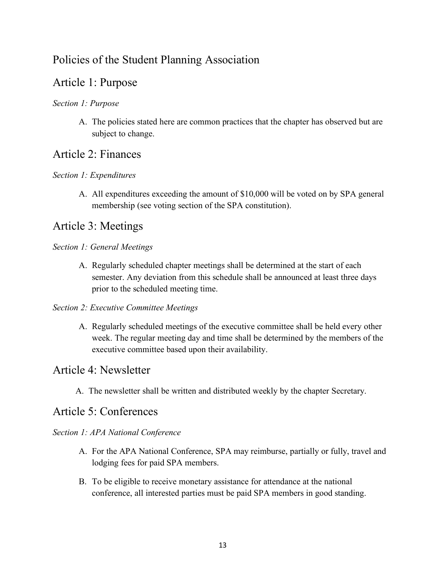# Policies of the Student Planning Association

## Article 1: Purpose

### *Section 1: Purpose*

A. The policies stated here are common practices that the chapter has observed but are subject to change.

### Article 2: Finances

#### *Section 1: Expenditures*

A. All expenditures exceeding the amount of \$10,000 will be voted on by SPA general membership (see voting section of the SPA constitution).

## Article 3: Meetings

#### *Section 1: General Meetings*

A. Regularly scheduled chapter meetings shall be determined at the start of each semester. Any deviation from this schedule shall be announced at least three days prior to the scheduled meeting time.

#### *Section 2: Executive Committee Meetings*

A. Regularly scheduled meetings of the executive committee shall be held every other week. The regular meeting day and time shall be determined by the members of the executive committee based upon their availability.

### Article 4: Newsletter

A. The newsletter shall be written and distributed weekly by the chapter Secretary.

## Article 5: Conferences

#### *Section 1: APA National Conference*

- A. For the APA National Conference, SPA may reimburse, partially or fully, travel and lodging fees for paid SPA members.
- B. To be eligible to receive monetary assistance for attendance at the national conference, all interested parties must be paid SPA members in good standing.